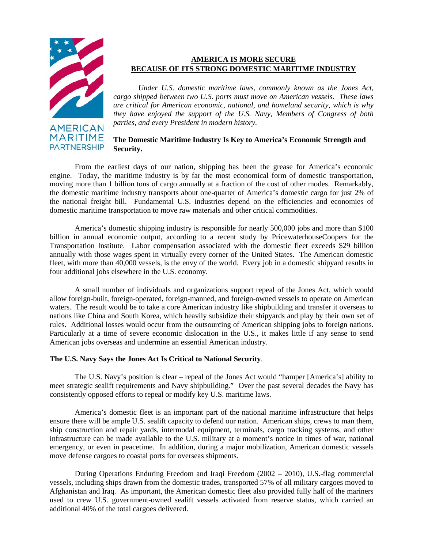

**AMERICAN MARITIME PARTNERSHIP** 

# **AMERICA IS MORE SECURE BECAUSE OF ITS STRONG DOMESTIC MARITIME INDUSTRY**

*Under U.S. domestic maritime laws, commonly known as the Jones Act, cargo shipped between two U.S. ports must move on American vessels. These laws are critical for American economic, national, and homeland security, which is why they have enjoyed the support of the U.S. Navy, Members of Congress of both parties, and every President in modern history.* 

## **The Domestic Maritime Industry Is Key to America's Economic Strength and Security.**

From the earliest days of our nation, shipping has been the grease for America's economic engine. Today, the maritime industry is by far the most economical form of domestic transportation, moving more than 1 billion tons of cargo annually at a fraction of the cost of other modes. Remarkably, the domestic maritime industry transports about one-quarter of America's domestic cargo for just 2% of the national freight bill. Fundamental U.S. industries depend on the efficiencies and economies of domestic maritime transportation to move raw materials and other critical commodities.

America's domestic shipping industry is responsible for nearly 500,000 jobs and more than \$100 billion in annual economic output, according to a recent study by PricewaterhouseCoopers for the Transportation Institute. Labor compensation associated with the domestic fleet exceeds \$29 billion annually with those wages spent in virtually every corner of the United States. The American domestic fleet, with more than 40,000 vessels, is the envy of the world. Every job in a domestic shipyard results in four additional jobs elsewhere in the U.S. economy.

A small number of individuals and organizations support repeal of the Jones Act, which would allow foreign-built, foreign-operated, foreign-manned, and foreign-owned vessels to operate on American waters. The result would be to take a core American industry like shipbuilding and transfer it overseas to nations like China and South Korea, which heavily subsidize their shipyards and play by their own set of rules. Additional losses would occur from the outsourcing of American shipping jobs to foreign nations. Particularly at a time of severe economic dislocation in the U.S., it makes little if any sense to send American jobs overseas and undermine an essential American industry.

### **The U.S. Navy Says the Jones Act Is Critical to National Security**.

The U.S. Navy's position is clear – repeal of the Jones Act would "hamper [America's] ability to meet strategic sealift requirements and Navy shipbuilding." Over the past several decades the Navy has consistently opposed efforts to repeal or modify key U.S. maritime laws.

America's domestic fleet is an important part of the national maritime infrastructure that helps ensure there will be ample U.S. sealift capacity to defend our nation. American ships, crews to man them, ship construction and repair yards, intermodal equipment, terminals, cargo tracking systems, and other infrastructure can be made available to the U.S. military at a moment's notice in times of war, national emergency, or even in peacetime. In addition, during a major mobilization, American domestic vessels move defense cargoes to coastal ports for overseas shipments.

During Operations Enduring Freedom and Iraqi Freedom (2002 – 2010), U.S.-flag commercial vessels, including ships drawn from the domestic trades, transported 57% of all military cargoes moved to Afghanistan and Iraq. As important, the American domestic fleet also provided fully half of the mariners used to crew U.S. government-owned sealift vessels activated from reserve status, which carried an additional 40% of the total cargoes delivered.